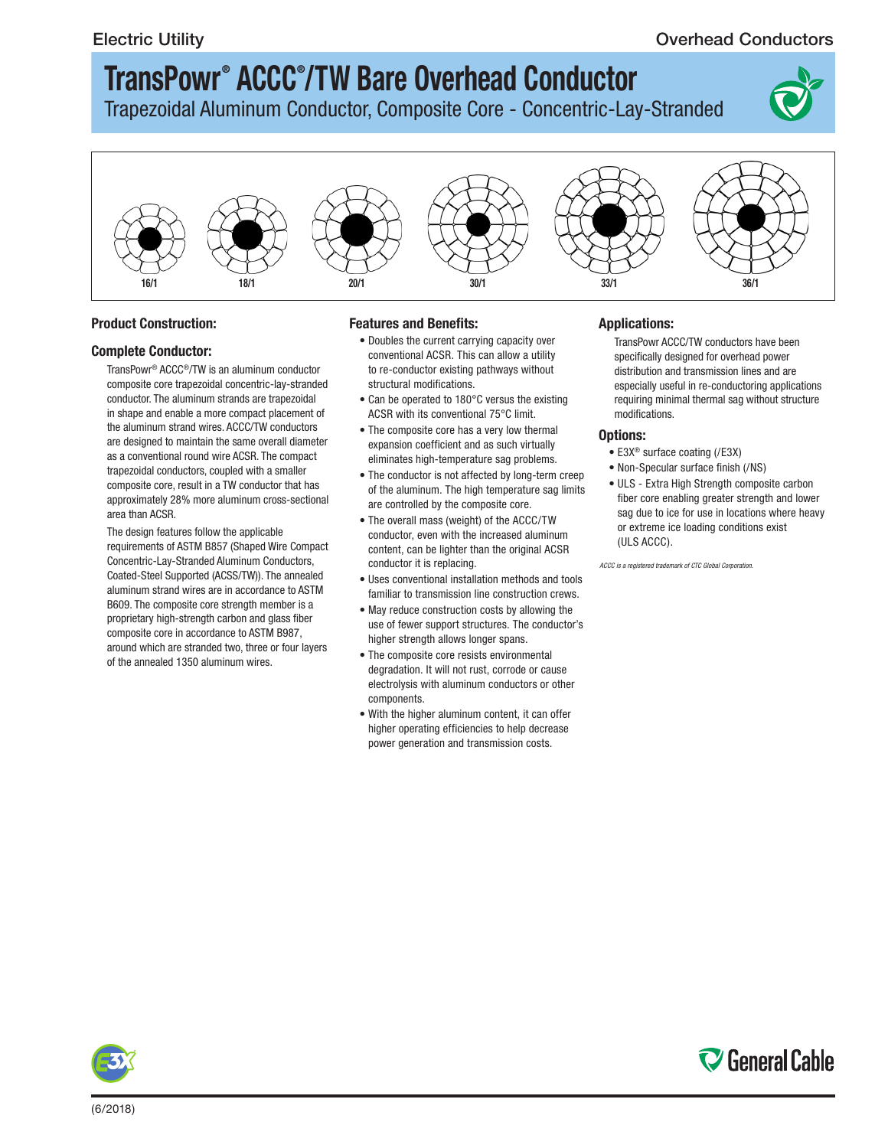### Electric Utility **Conductors** Conductors **Conductors** Conductors **Conductors**

# **TransPowr ® ACCC® /TW Bare Overhead Conductor**

Trapezoidal Aluminum Conductor, Composite Core - Concentric-Lay-Stranded





#### **Product Construction:**

#### **Complete Conductor:**

TransPowr® ACCC®/TW is an aluminum conductor composite core trapezoidal concentric-lay-stranded conductor. The aluminum strands are trapezoidal in shape and enable a more compact placement of the aluminum strand wires. ACCC/TW conductors are designed to maintain the same overall diameter as a conventional round wire ACSR. The compact trapezoidal conductors, coupled with a smaller composite core, result in a TW conductor that has approximately 28% more aluminum cross-sectional area than ACSR.

The design features follow the applicable requirements of ASTM B857 (Shaped Wire Compact Concentric-Lay-Stranded Aluminum Conductors, Coated-Steel Supported (ACSS/TW)). The annealed aluminum strand wires are in accordance to ASTM B609. The composite core strength member is a proprietary high-strength carbon and glass fiber composite core in accordance to ASTM B987, around which are stranded two, three or four layers of the annealed 1350 aluminum wires.

#### **Features and Benefits:**

- Doubles the current carrying capacity over conventional ACSR. This can allow a utility to re-conductor existing pathways without structural modifications.
- Can be operated to 180°C versus the existing ACSR with its conventional 75°C limit.
- The composite core has a very low thermal expansion coefficient and as such virtually eliminates high-temperature sag problems.
- The conductor is not affected by long-term creep of the aluminum. The high temperature sag limits are controlled by the composite core.
- The overall mass (weight) of the ACCC/TW conductor, even with the increased aluminum content, can be lighter than the original ACSR conductor it is replacing.
- Uses conventional installation methods and tools familiar to transmission line construction crews.
- May reduce construction costs by allowing the use of fewer support structures. The conductor's higher strength allows longer spans.
- The composite core resists environmental degradation. It will not rust, corrode or cause electrolysis with aluminum conductors or other components.
- With the higher aluminum content, it can offer higher operating efficiencies to help decrease power generation and transmission costs.

#### **Applications:**

TransPowr ACCC/TW conductors have been specifically designed for overhead power distribution and transmission lines and are especially useful in re-conductoring applications requiring minimal thermal sag without structure modifications.

#### **Options:**

- E3X® surface coating (/E3X)
- Non-Specular surface finish (/NS)
- ULS Extra High Strength composite carbon fiber core enabling greater strength and lower sag due to ice for use in locations where heavy or extreme ice loading conditions exist (ULS ACCC).

*ACCC is a registered trademark of CTC Global Corporation.*

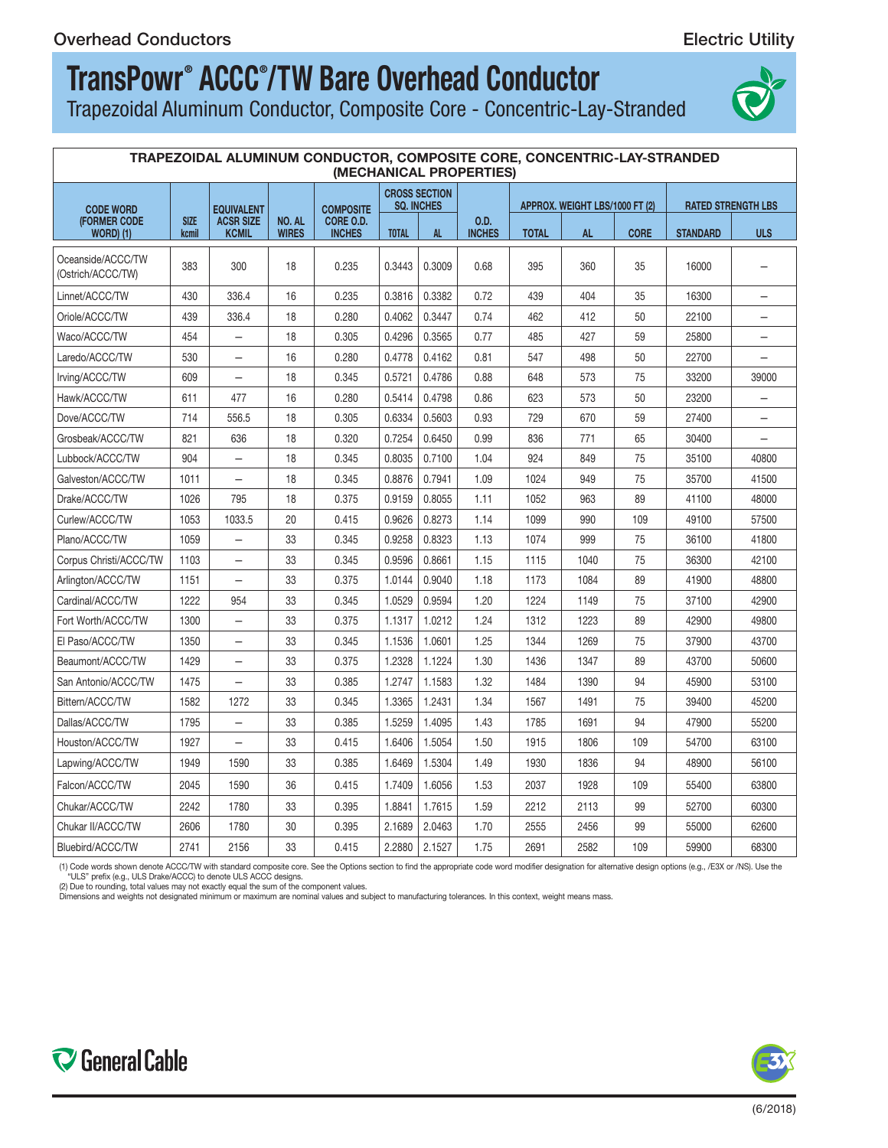# **TransPowr ® ACCC® /TW Bare Overhead Conductor**

Trapezoidal Aluminum Conductor, Composite Core - Concentric-Lay-Stranded



| TRAPEZOIDAL ALUMINUM CONDUCTOR, COMPOSITE CORE, CONCENTRIC-LAY-STRANDED<br>(MECHANICAL PROPERTIES) |                      |                           |                        |                            |                                           |        |                       |                                |           |             |                           |                          |
|----------------------------------------------------------------------------------------------------|----------------------|---------------------------|------------------------|----------------------------|-------------------------------------------|--------|-----------------------|--------------------------------|-----------|-------------|---------------------------|--------------------------|
| <b>CODE WORD</b>                                                                                   |                      | <b>EQUIVALENT</b>         |                        | <b>COMPOSITE</b>           | <b>CROSS SECTION</b><br><b>SQ. INCHES</b> |        |                       | APPROX. WEIGHT LBS/1000 FT (2) |           |             | <b>RATED STRENGTH LBS</b> |                          |
| <b>(FORMER CODE)</b><br><b>WORD</b> ) (1)                                                          | <b>SIZE</b><br>kcmil | <b>ACSR SIZE</b><br>KCMIL | NO. AL<br><b>WIRES</b> | CORE O.D.<br><b>INCHES</b> | <b>TOTAL</b>                              | AL.    | 0.D.<br><b>INCHES</b> | <b>TOTAL</b>                   | <b>AL</b> | <b>CORE</b> | <b>STANDARD</b>           | <b>ULS</b>               |
| Oceanside/ACCC/TW<br>(Ostrich/ACCC/TW)                                                             | 383                  | 300                       | 18                     | 0.235                      | 0.3443                                    | 0.3009 | 0.68                  | 395                            | 360       | 35          | 16000                     |                          |
| Linnet/ACCC/TW                                                                                     | 430                  | 336.4                     | 16                     | 0.235                      | 0.3816                                    | 0.3382 | 0.72                  | 439                            | 404       | 35          | 16300                     | $\overline{\phantom{0}}$ |
| Oriole/ACCC/TW                                                                                     | 439                  | 336.4                     | 18                     | 0.280                      | 0.4062                                    | 0.3447 | 0.74                  | 462                            | 412       | 50          | 22100                     |                          |
| Waco/ACCC/TW                                                                                       | 454                  | $\overline{\phantom{0}}$  | 18                     | 0.305                      | 0.4296                                    | 0.3565 | 0.77                  | 485                            | 427       | 59          | 25800                     |                          |
| Laredo/ACCC/TW                                                                                     | 530                  | -                         | 16                     | 0.280                      | 0.4778                                    | 0.4162 | 0.81                  | 547                            | 498       | 50          | 22700                     |                          |
| Irving/ACCC/TW                                                                                     | 609                  |                           | 18                     | 0.345                      | 0.5721                                    | 0.4786 | 0.88                  | 648                            | 573       | 75          | 33200                     | 39000                    |
| Hawk/ACCC/TW                                                                                       | 611                  | 477                       | 16                     | 0.280                      | 0.5414                                    | 0.4798 | 0.86                  | 623                            | 573       | 50          | 23200                     | $\overline{\phantom{0}}$ |
| Dove/ACCC/TW                                                                                       | 714                  | 556.5                     | 18                     | 0.305                      | 0.6334                                    | 0.5603 | 0.93                  | 729                            | 670       | 59          | 27400                     | $\overline{\phantom{0}}$ |
| Grosbeak/ACCC/TW                                                                                   | 821                  | 636                       | 18                     | 0.320                      | 0.7254                                    | 0.6450 | 0.99                  | 836                            | 771       | 65          | 30400                     | $\equiv$                 |
| Lubbock/ACCC/TW                                                                                    | 904                  | $\overline{\phantom{0}}$  | 18                     | 0.345                      | 0.8035                                    | 0.7100 | 1.04                  | 924                            | 849       | 75          | 35100                     | 40800                    |
| Galveston/ACCC/TW                                                                                  | 1011                 | $\overline{\phantom{0}}$  | 18                     | 0.345                      | 0.8876                                    | 0.7941 | 1.09                  | 1024                           | 949       | 75          | 35700                     | 41500                    |
| Drake/ACCC/TW                                                                                      | 1026                 | 795                       | 18                     | 0.375                      | 0.9159                                    | 0.8055 | 1.11                  | 1052                           | 963       | 89          | 41100                     | 48000                    |
| Curlew/ACCC/TW                                                                                     | 1053                 | 1033.5                    | 20                     | 0.415                      | 0.9626                                    | 0.8273 | 1.14                  | 1099                           | 990       | 109         | 49100                     | 57500                    |
| Plano/ACCC/TW                                                                                      | 1059                 | —                         | 33                     | 0.345                      | 0.9258                                    | 0.8323 | 1.13                  | 1074                           | 999       | 75          | 36100                     | 41800                    |
| Corpus Christi/ACCC/TW                                                                             | 1103                 | $\qquad \qquad -$         | 33                     | 0.345                      | 0.9596                                    | 0.8661 | 1.15                  | 1115                           | 1040      | 75          | 36300                     | 42100                    |
| Arlington/ACCC/TW                                                                                  | 1151                 | $\overline{\phantom{0}}$  | 33                     | 0.375                      | 1.0144                                    | 0.9040 | 1.18                  | 1173                           | 1084      | 89          | 41900                     | 48800                    |
| Cardinal/ACCC/TW                                                                                   | 1222                 | 954                       | 33                     | 0.345                      | 1.0529                                    | 0.9594 | 1.20                  | 1224                           | 1149      | 75          | 37100                     | 42900                    |
| Fort Worth/ACCC/TW                                                                                 | 1300                 | $\overline{\phantom{0}}$  | 33                     | 0.375                      | 1.1317                                    | 1.0212 | 1.24                  | 1312                           | 1223      | 89          | 42900                     | 49800                    |
| El Paso/ACCC/TW                                                                                    | 1350                 |                           | 33                     | 0.345                      | 1.1536                                    | 1.0601 | 1.25                  | 1344                           | 1269      | 75          | 37900                     | 43700                    |
| Beaumont/ACCC/TW                                                                                   | 1429                 |                           | 33                     | 0.375                      | 1.2328                                    | 1.1224 | 1.30                  | 1436                           | 1347      | 89          | 43700                     | 50600                    |
| San Antonio/ACCC/TW                                                                                | 1475                 | $\qquad \qquad -$         | 33                     | 0.385                      | 1.2747                                    | 1.1583 | 1.32                  | 1484                           | 1390      | 94          | 45900                     | 53100                    |
| Bittern/ACCC/TW                                                                                    | 1582                 | 1272                      | 33                     | 0.345                      | 1.3365                                    | 1.2431 | 1.34                  | 1567                           | 1491      | 75          | 39400                     | 45200                    |
| Dallas/ACCC/TW                                                                                     | 1795                 | $\overline{\phantom{0}}$  | 33                     | 0.385                      | 1.5259                                    | 1.4095 | 1.43                  | 1785                           | 1691      | 94          | 47900                     | 55200                    |
| Houston/ACCC/TW                                                                                    | 1927                 | $\overline{\phantom{0}}$  | 33                     | 0.415                      | 1.6406                                    | 1.5054 | 1.50                  | 1915                           | 1806      | 109         | 54700                     | 63100                    |
| Lapwing/ACCC/TW                                                                                    | 1949                 | 1590                      | 33                     | 0.385                      | 1.6469                                    | 1.5304 | 1.49                  | 1930                           | 1836      | 94          | 48900                     | 56100                    |
| Falcon/ACCC/TW                                                                                     | 2045                 | 1590                      | 36                     | 0.415                      | 1.7409                                    | 1.6056 | 1.53                  | 2037                           | 1928      | 109         | 55400                     | 63800                    |
| Chukar/ACCC/TW                                                                                     | 2242                 | 1780                      | 33                     | 0.395                      | 1.8841                                    | 1.7615 | 1.59                  | 2212                           | 2113      | 99          | 52700                     | 60300                    |
| Chukar II/ACCC/TW                                                                                  | 2606                 | 1780                      | 30                     | 0.395                      | 2.1689                                    | 2.0463 | 1.70                  | 2555                           | 2456      | 99          | 55000                     | 62600                    |
| Bluebird/ACCC/TW                                                                                   | 2741                 | 2156                      | 33                     | 0.415                      | 2.2880                                    | 2.1527 | 1.75                  | 2691                           | 2582      | 109         | 59900                     | 68300                    |

(1) Code words shown denote ACCC/TW with standard composite core. See the Options section to find the appropriate code word modifier designation for alternative design options (e.g., /E3X or /NS). Use the<br>"ULS" prefix (e.g